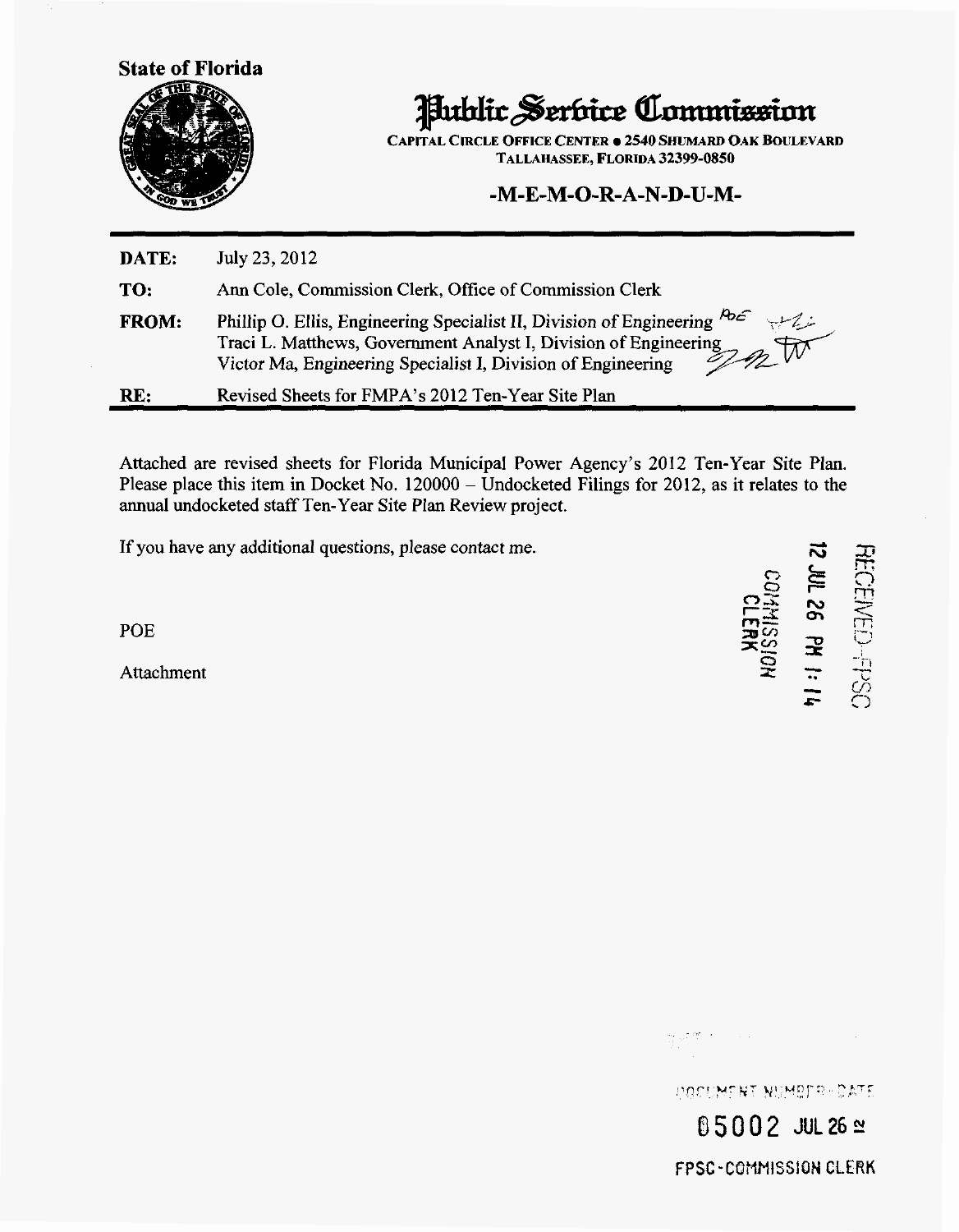**State of Florida** 



Hublic Serbice Commission

**CAPITAL CIRCLE OFFICE CENTER**  $\bullet$  **2540 SHUMARD OAK BOULEVARD** TALLAHASSEE, FLORIDA *32399-0850* 

### -M-E-M-0-R- **A-N-D-U-M-**

| DATE:        | July 23, 2012                                                                                                                                                                                                                                                  |
|--------------|----------------------------------------------------------------------------------------------------------------------------------------------------------------------------------------------------------------------------------------------------------------|
| TO:          | Ann Cole, Commission Clerk, Office of Commission Clerk                                                                                                                                                                                                         |
| <b>FROM:</b> | Phillip O. Ellis, Engineering Specialist II, Division of Engineering $\frac{\mu_{\text{max}}}{\sigma_{\text{max}}}$<br>Traci L. Matthews, Government Analyst I, Division of Engineering<br>gnW<br>Victor Ma, Engineering Specialist I, Division of Engineering |
| RL:          | Revised Sheets for FMPA's 2012 Ten-Year Site Plan                                                                                                                                                                                                              |

Attached are revised sheets for Florida Municipal Power Agency's 2012 Ten-Year Site Plan. Please place this item in Docket No. 120000 – Undocketed Filings for 2012, as it relates to the annual undocketed staff Ten-Year Site Plan Review project.

If you have any additional questions, please contact me.

POE

Attachment  $\overline{X} = \frac{1}{2}$ **f 30 10 10 10 10 11 14** 

सु <sub>प</sub>र की ज DOCUMENT MUMBER-CATE

**05002 JUL 26 ≌** FPSC-COMMISSION CLERK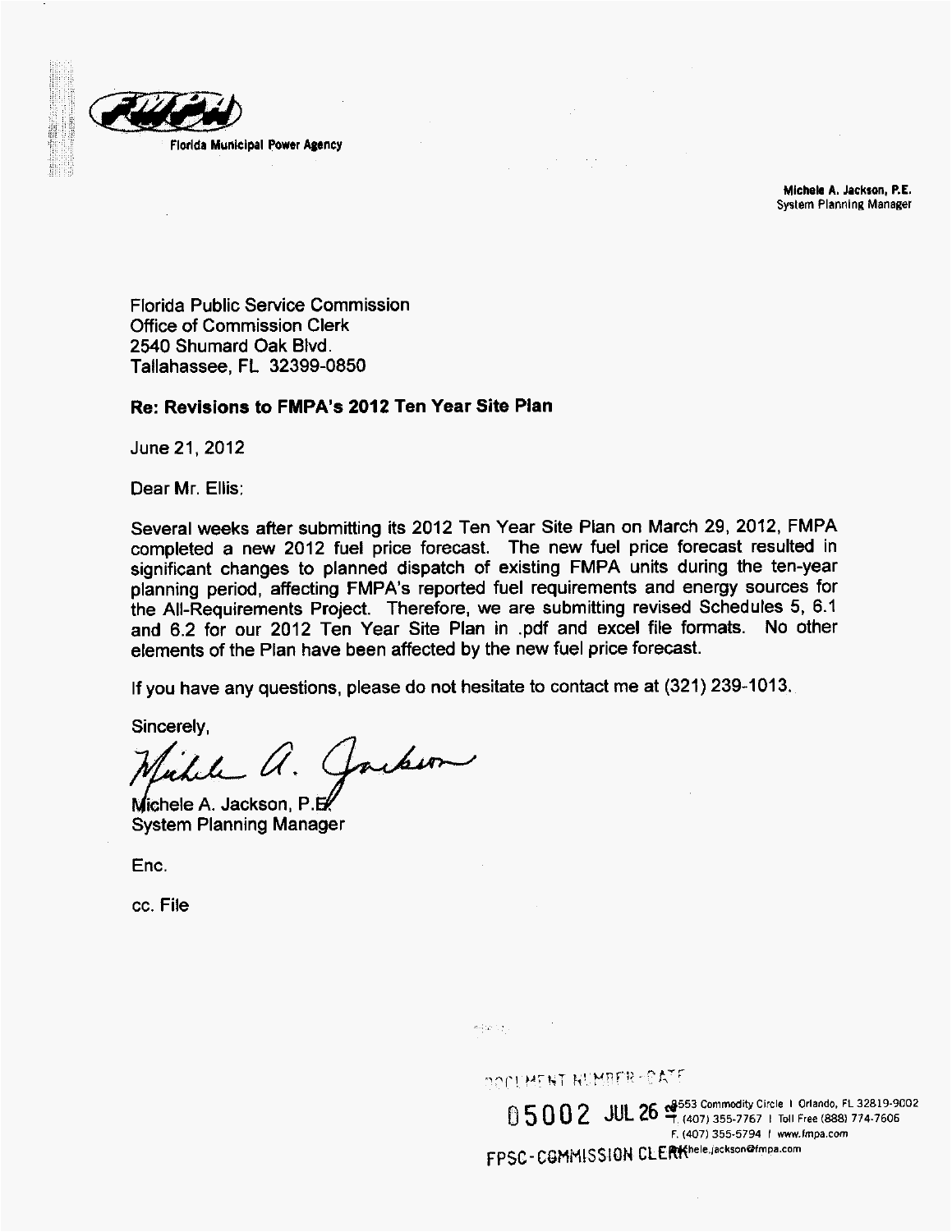

**Mlchek A. Jackson. P.E. System Planning Manager** 

Florida Public Service Commission Office of Commission Clerk 2540 Shumard Oak Blvd. Tallahassee, FL 32399-0850

### Re: Revisions to FMPA's 2012 Ten Year Site Plan

June 21,2012

Dear Mr. Ellis:

Several weeks after submitting its 2012 Ten Year Site Plan on March 29, 2012, FMPA completed a new 2012 fuel price forecast. The new fuel price forecast resulted in significant changes to planned dispatch of existing FMPA units during the ten-year planning period, affecting FMPA's reported fuel requirements and energy sources for the All-Requirements Project. Therefore, we are submitting revised Schedules 5, 6.1 and 6.2 for our 2012 Ten Year Site Plan in .pdf and excel file formats. No other elements of the Plan have been affected by the new fuel price forecast.

If you have any questions, please do not hesitate to contact me at (321) 239-1013.

Sincerely,

Clarkson

Michele A. Jackson, P.E. System Planning Manager

Enc.

cc. File

water top on

DOOUMERT RUMBER-OATE

**&553** Comrncdity **Circle** I **Orlando. FL 32819-9002** 0 **5** 0 0 2 JUL *26 1* **(407) 355-7767** I Toll **Free (8881 774-7606** FPSC-COMMISSION CLERKhele.jackson@fmpa.com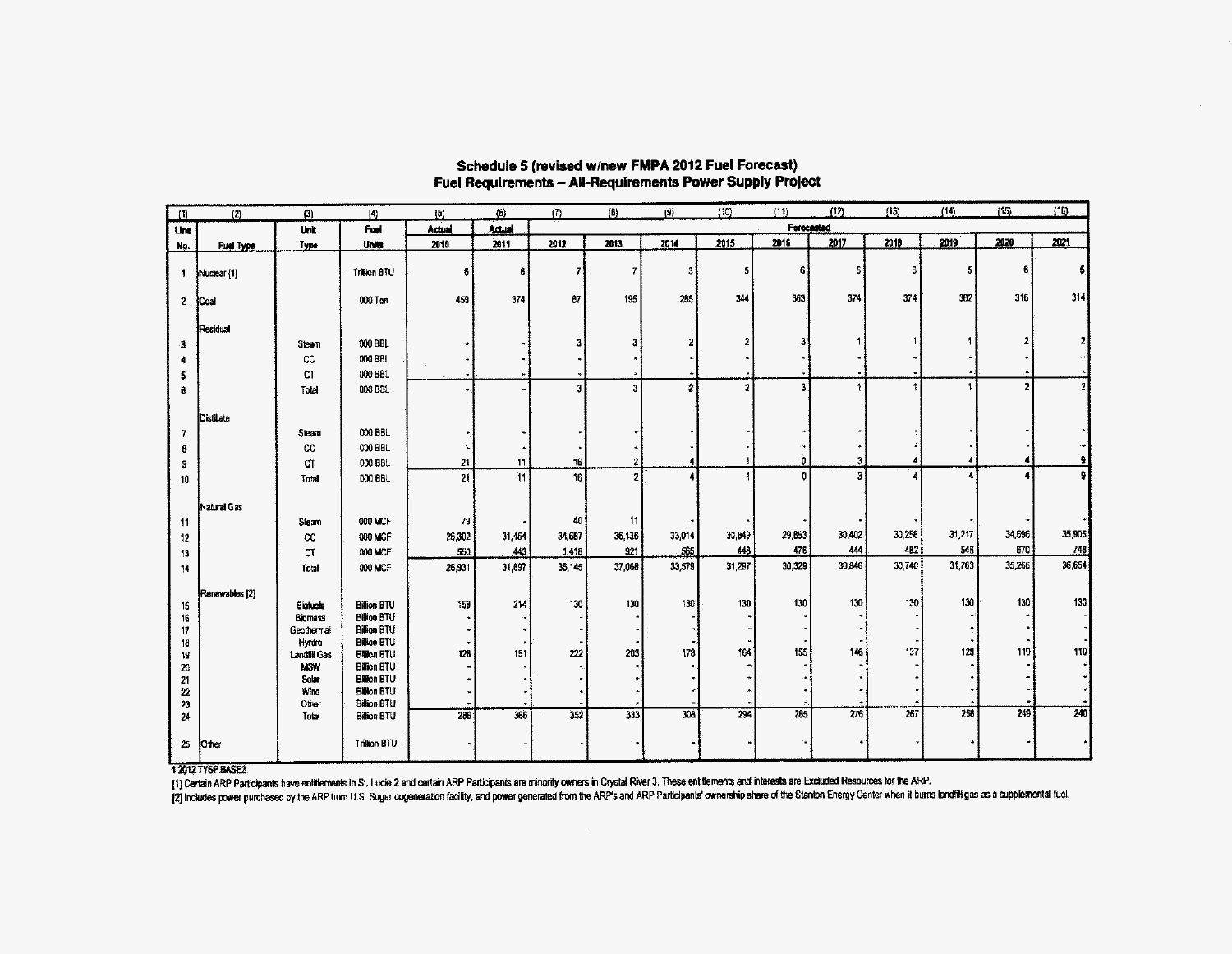| (1)                     | (2)            | (3)                 | $\vert 4 \rangle$                        | (5)    | (6)    | (7)    | (6)                     | (9)            | (10)                    | (11)                    | (12)             | (13)             | (14)   | (15)   | (16)           |
|-------------------------|----------------|---------------------|------------------------------------------|--------|--------|--------|-------------------------|----------------|-------------------------|-------------------------|------------------|------------------|--------|--------|----------------|
| Line                    |                | Unit                | Fuel                                     | Actual | Actual |        |                         |                |                         | <b>Forecasted</b>       |                  |                  |        |        |                |
| Ng.                     | Fuel Type      | Type                | Units                                    | 2010   | 2011   | 2012   | 2013                    | 2014           | 2015                    | 2016                    | 2017             | 2018             | 2019   | 2020   | 2021           |
| $\mathbf{1}$            | Nuclear [1]    |                     | Tration BTU                              | 6      | Ê.     |        | $\mathbf{7}$            | 3 <sup>1</sup> | 5                       | 6 <sup>1</sup>          | 5 <sup>1</sup>   | 6                | 5      | 6      | 5              |
| 2 <sup>7</sup>          | Coal           |                     | 000 Ton                                  | 459    | 374    | 87     | 195                     | 285            | 344                     | 363                     | 374              | 374              | 382    | 316    | 314            |
|                         | Residual       |                     |                                          |        |        |        |                         |                |                         |                         |                  |                  |        |        |                |
| -3                      |                | Steam               | 000 BBL                                  |        |        |        | 3                       | 2              | 2                       | 31                      |                  |                  |        |        | 2 <sub>1</sub> |
|                         |                | $_{\rm CC}$         | 000 BBL                                  |        |        |        |                         |                |                         |                         |                  |                  |        |        |                |
| s                       |                | <b>CT</b>           | 000 BBL                                  |        |        |        |                         |                |                         |                         |                  |                  |        |        |                |
| Ê.                      |                | Total               | 000 BBL                                  |        |        | 3      | $\overline{\mathbf{3}}$ | 2              | $\overline{\mathbf{r}}$ | $\overline{\mathbf{3}}$ | ÷                |                  |        | 2      | $\mathbf{Z}$   |
|                         | Distillate     |                     |                                          |        |        |        |                         |                |                         |                         |                  |                  |        |        |                |
| 7                       |                | Steam               | 000 BBL                                  |        |        |        |                         |                |                         |                         |                  |                  |        |        |                |
|                         |                | cc                  | 000 BBL                                  |        |        |        |                         |                |                         |                         |                  |                  |        |        |                |
| 9                       |                | CT                  | 000 BBL                                  | 21     | 11     | 16     | $\boldsymbol{z}$        | 4              |                         | û                       | 3                |                  |        |        | ą.             |
| 10                      |                | Total               | 000 BBL                                  | 21     | 11     | 16     | $\overline{2}$          | 4              |                         | $\mathbf{0}$            | ă                |                  |        |        | ş              |
|                         | Natural Gas    |                     |                                          |        |        |        |                         |                |                         |                         |                  |                  |        |        |                |
| 11                      |                | Steam               | 000 MCF                                  | 79     |        | 40     | 11                      |                |                         |                         |                  |                  |        |        |                |
| 12                      |                | cc                  | 000 MCF                                  | 26,302 | 31,454 | 34,687 | 36,136                  | 33,014         | 30,849                  | 29,853                  | 30,402           | 30,258           | 31,217 | 34,596 | 35,906         |
| 13                      |                | CT                  | 000 MCF                                  | 550    | 443    | 1,418  | 921                     | 565            | 448                     | 476                     | 444              | 482              | 546    | 670    | 748            |
| 14                      |                | Total               | 000 MCF                                  | 26,931 | 31,897 | 36,145 | 37,068                  | 33,579         | 31,297                  | 30,329                  | 30,846           | 30.740           | 31,763 | 35,266 | 36,654         |
|                         |                |                     |                                          |        |        |        |                         |                |                         |                         |                  |                  |        |        |                |
| 15                      | Renewables [2] | <b>Biofuels</b>     | <b>Billion BTU</b>                       | 158    | 214    | 130    | 130                     | 130            | 130                     | 130                     | 130              | 130              | 130    | 130    | 130            |
| 16                      |                | <b>Biomass</b>      | Billion BTU                              |        |        |        |                         |                |                         |                         |                  |                  |        |        |                |
| 17                      |                | Geothermal          | Billion BTU                              |        |        |        |                         |                |                         |                         |                  |                  |        |        |                |
| 18                      |                | Hyrara              | <b>Billion BTU</b>                       |        |        |        |                         |                |                         |                         |                  |                  |        |        |                |
| 19                      |                | <b>Landfill Gas</b> | <b>Bison BTU</b>                         | 126    | 151    | 222    | 203                     | 178            | 164                     | 155                     | 146              | 137              | 120    | 119    | 110            |
| 20                      |                | <b>USW</b><br>Solar | <b>Billion BTU</b><br><b>Billion BTU</b> |        |        |        |                         |                |                         |                         |                  |                  |        |        |                |
| 21<br>$\boldsymbol{22}$ |                | Wind                | Billion BTU                              |        |        |        |                         |                |                         |                         |                  |                  |        |        |                |
| 23                      |                | Other               | <b>Billion BTU</b>                       |        |        |        |                         |                |                         |                         |                  |                  |        |        |                |
| 24                      |                | Total               | <b>Billion BTU</b>                       | 286    | 366    | 352    | 333                     | 308            | 294                     | 285                     | $\overline{276}$ | $\overline{267}$ | 258    | 249    | 240            |
| 25                      | Other          |                     | Trillion BTU                             |        |        |        |                         |                |                         |                         |                  |                  |        |        |                |

#### Schedule 5 (revised w/new FMPA 2012 Fuel Forecast) Fuel Requirements - All-Requirements Power Supply Project

12012 TYSP BASE2

[1] Certain ARP Participants have entitlements in St. Lucie 2 and certain ARP Participants are minority owners in Crystal River 3. These entitlements and interests are Excluded Resources for the ARP.

[2] Includes power purchased by the ARP from U.S. Sugar cogeneration facility, and power generated from the ARP's and ARP Participants' ownership share of the Stanton Energy Center when it burns landfill gas as a supplemen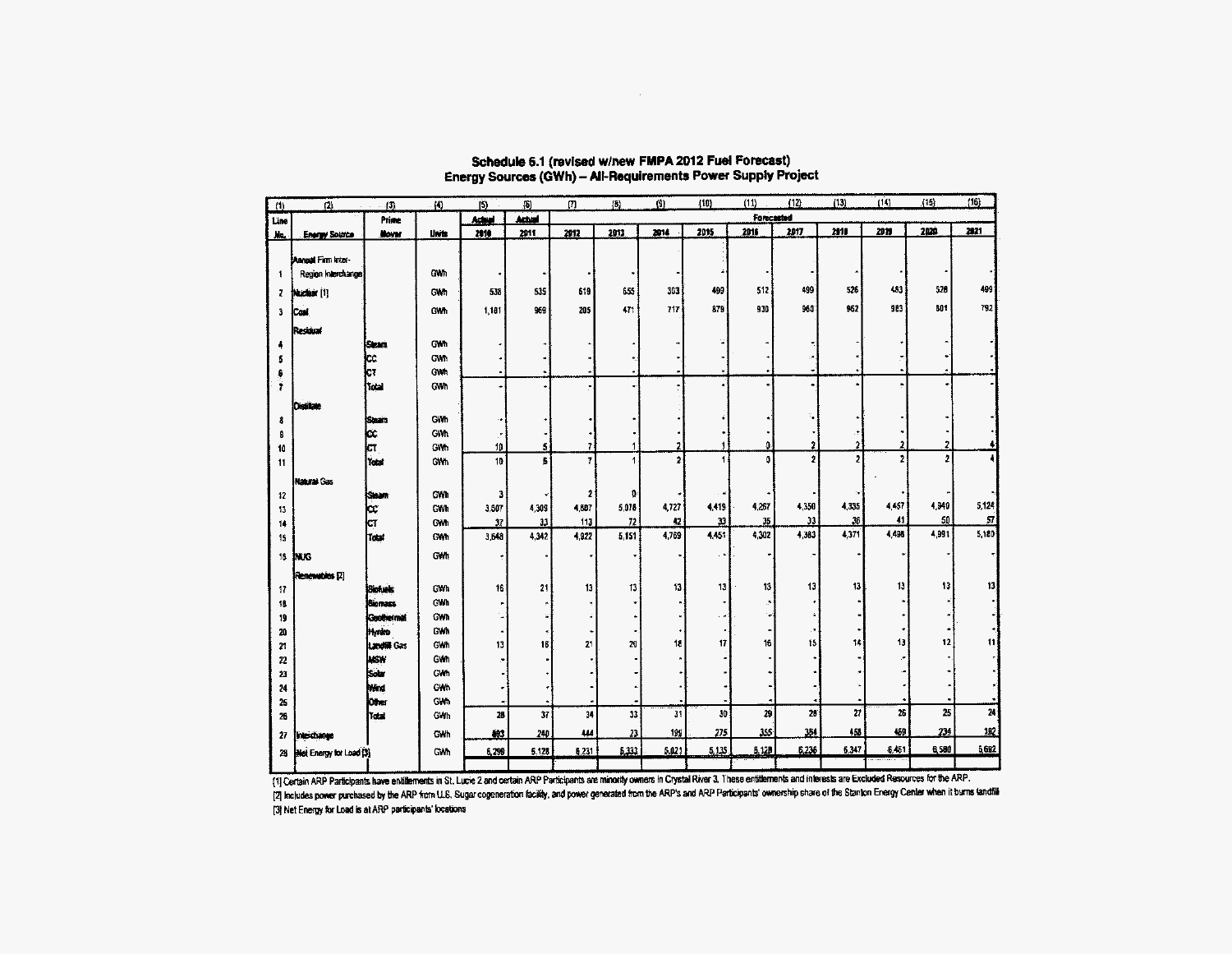| (1)  | $\left 2\right\rangle$    | $\cdot$ (3)       | $\mathbf{A}$    | $\overline{5}$ | $\{b\}$         | $\Box$ | $ 0\rangle$  | (9)            | (10)  | (11)       | (12)         | (13)           | (14)  | (15)           | (16)                      |
|------|---------------------------|-------------------|-----------------|----------------|-----------------|--------|--------------|----------------|-------|------------|--------------|----------------|-------|----------------|---------------------------|
| Line |                           | Prime             |                 | Ashal          | Actual          |        |              |                |       | Forecasted |              |                |       |                |                           |
| 版    | <b>Energy Source</b>      | Moya:             | Units           | 2010           | 2011            | 2012   | 2013         | 2014           | 2015  | 2015       | 2017         | 2010           | 2819  | 2020           | 2021                      |
|      |                           |                   |                 |                |                 |        |              |                |       |            |              |                |       |                |                           |
|      | <b>Dunaat Firm Inter-</b> |                   |                 |                |                 |        |              |                |       |            |              |                |       |                |                           |
| 1    | Region Interchange        |                   | GWh             |                |                 |        |              |                |       |            |              |                |       |                |                           |
| z    | Nuclear [1]               |                   | GWh             | 538            | 535             | 619    | 655          | 303            | 499   | 512        | 499          | 526            | 483   | 520            | 499                       |
| 3    | Cost.                     |                   | GWh             | 1,181          | 969             | 205    | 471          | 717            | 879   | 930        | 960          | 962            | 983   | 801            | 792                       |
|      | Residual                  |                   |                 |                |                 |        |              |                |       |            |              |                |       |                |                           |
|      |                           | <b>Gean</b>       | GWh             |                |                 |        |              |                |       |            |              |                |       |                |                           |
|      |                           | þс                | GWN             |                |                 |        |              |                |       |            |              |                |       |                |                           |
|      |                           | kт                | GW <sub>7</sub> |                |                 |        |              |                |       |            |              |                |       |                |                           |
| Ĵ.   |                           | Tetal             | GWh             |                |                 |        |              |                |       |            |              |                |       |                |                           |
|      | <b>Detite</b>             |                   |                 |                |                 |        |              |                |       |            |              |                |       |                |                           |
| 8    |                           | Saan.             | GWh             |                |                 |        |              |                |       |            |              |                |       |                |                           |
| 8    |                           | ķ¢                | <b>GWh</b>      |                |                 |        |              |                |       |            |              |                |       |                |                           |
| 10   |                           | Iст               | GWh             | 10             | 5               | 7      |              | $\mathbf{r}$   |       | 0          | ,            | 2              |       | 2              |                           |
| 11   |                           | İtabi             | GWh             | 10             | 5               | 7      | 1            | $\overline{2}$ | 1     | Ō          | $\mathbf{r}$ | $\overline{2}$ |       | $\overline{z}$ |                           |
|      | Natural Gas               |                   |                 |                |                 |        |              |                |       |            |              |                |       |                |                           |
| 12   |                           | isteam            | GWI             | 3              |                 | 2      | $\mathbf{0}$ |                |       |            |              |                |       |                |                           |
| 13   |                           | CC.               | GWN             | 3,807          | 4,309           | 4,607  | 5,078        | 4,727          | 4,419 | 4.267      | 4,350        | 4,335          | 4.457 | 4,940          | 5,124                     |
| 14   |                           | СT                | GWh             | 37             | 33 <sup>°</sup> | 113    | 72           | $12\,$         | 13    | 35         | 33           | 36             | 41    | 50             | $\overline{\mathfrak{g}}$ |
| 15   |                           | heat              | GWh             | 3,643          | 4,342           | 4,922  | 5,151        | 4,769          | 4,451 | 4,302      | 4.383        | 4,371          | 4,498 | 4,991          | 5,180                     |
| 16   | ixxs                      |                   | GWh             |                |                 |        |              |                |       |            | <b>.-</b>    |                |       |                |                           |
|      | Renewobles [2]            |                   |                 |                |                 |        |              |                |       |            |              |                |       |                |                           |
| 17   |                           | Biofunks          | GW <sub>h</sub> | 16             | 21              | 13     | 13           | 13             | 13    | 13         | 13           | 13             | 13    | 13             | 13                        |
| 18   |                           | <b>Biomass</b>    | CWh             |                |                 |        |              |                |       | ٠          |              |                |       |                |                           |
| 19   |                           | <b>Coothermal</b> | GWh             |                |                 |        |              |                |       |            |              |                |       |                |                           |
| 20   |                           | <b>Hyrdro</b>     | GWh             |                |                 |        |              |                |       |            |              |                |       |                |                           |
| 21   |                           | Landfill Gas      | GWh             | 13             | 16              | 21     | 20           | 18             | 17    | 16         | 15           | 14             | 13    | 12             | 11                        |
| 22   |                           | <b>MSW</b>        | GWh             |                |                 |        |              |                |       |            |              |                |       |                |                           |
| 23   |                           | İsdan             | GWh             |                |                 |        |              |                |       |            |              |                |       |                |                           |
| 24   |                           | .<br>Mind         | GWh             |                |                 |        |              |                |       |            |              |                |       |                |                           |
| 25   |                           | <b>Otter</b>      | Gwh             | 28             | 37              | 34     | 13           | 31             | 30    | 29         | 28           | 27             | 26    | 25             | 24                        |
| 26   |                           | Total             | GWh             |                |                 |        |              |                |       |            |              |                | 469   | 234            | 192                       |
| 27   | Interchange               |                   | GWh             | 803            | 240             | 444    | 23           | 199            | 275   | 355        | 354          | 458            |       |                |                           |
| 25   | Net Energy for Load [3]   |                   | GWh             | 6,290          | 6.128           | 6,231  | 5,333        | 5,023          | 5,135 | 6,120      | 6.236        | 6,347          | 6,461 | 6,580          | 6,692                     |
|      |                           |                   |                 |                |                 |        |              |                |       |            |              |                |       |                |                           |

## Schedule 6.1 (revised w/new FMPA 2012 Fuel Forecast)<br>Energy Sources (GWh) - All-Requirements Power Supply Project

 $\sim 10^{-1}$ 

[1] Certain ARP Participants have entitlements in St. Lucie 2 and certain ARP Participants are minority owners in Crystal River 3. These entitlements and interests are Excluded Resources for the ARP. [2] Includes power purchased by the ARP from U.S. Sugar cogeneration facility, and power generated from the ARP's and ARP Participants' ownership share of the Stanton Energy Center when it burns landfill [3] Net Energy for Load is at ARP participants' locations